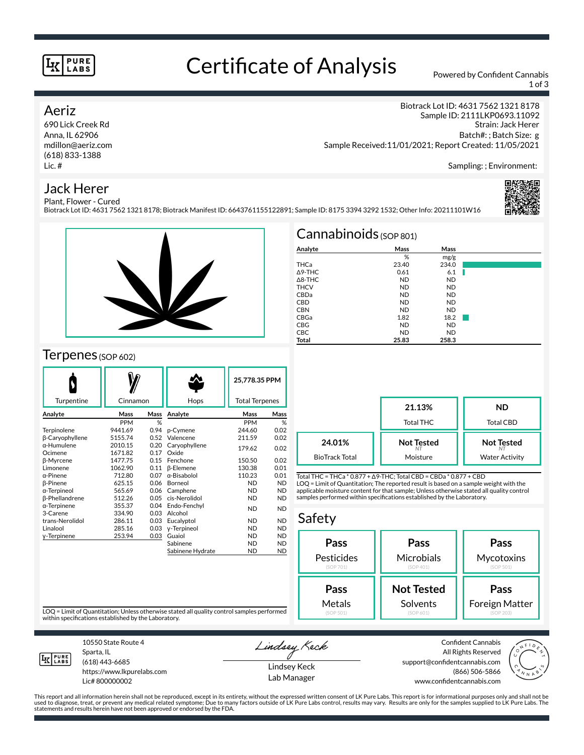#### **PURE** LABS

# Certificate of Analysis Powered by Confident Cannabis

1 of 3

## Aeriz

690 Lick Creek Rd Anna, IL 62906 mdillon@aeriz.com (618) 833-1388 Lic. #

Biotrack Lot ID: 4631 7562 1321 8178 Sample ID: 2111LKP0693.11092 Strain: Jack Herer Batch#: ; Batch Size: g Sample Received:11/01/2021; Report Created: 11/05/2021

Sampling: ; Environment:

# Jack Herer



Plant, Flower - Cured Biotrack Lot ID: 4631 7562 1321 8178; Biotrack Manifest ID: 6643761155122891; Sample ID: 8175 3394 3292 1532; Other Info: 20211101W16



#### $T$ erpenes (SOP 602)

| Turpentine             | Cinnamon     |      | Hops                | 25,778.35 PPM<br><b>Total Terpenes</b> |           |
|------------------------|--------------|------|---------------------|----------------------------------------|-----------|
| Analyte                | Mass<br>Mass |      | Analyte             | Mass                                   | Mass      |
|                        | <b>PPM</b>   | %    |                     | <b>PPM</b>                             | %         |
| Terpinolene            | 9441.69      | 0.94 | p-Cymene            | 244.60                                 | 0.02      |
| <b>B-Caryophyllene</b> | 5155.74      | 0.52 | Valencene           | 211.59                                 | 0.02      |
| α-Humulene             | 2010.15      | 0.20 | Caryophyllene       | 179.62                                 | 0.02      |
| Ocimene                | 1671.82      | 0.17 | Oxide               |                                        |           |
| <b>ß-Myrcene</b>       | 1477.75      | 0.15 | Fenchone            | 150.50                                 | 0.02      |
| Limonene               | 1062.90      | 0.11 | <b>B-Elemene</b>    | 130.38                                 | 0.01      |
| α-Pinene               | 712.80       | 0.07 | $\alpha$ -Bisabolol | 110.23                                 | 0.01      |
| <b>B-Pinene</b>        | 625.15       | 0.06 | Borneol             | <b>ND</b>                              | <b>ND</b> |
| α-Terpineol            | 565.69       | 0.06 | Camphene            | <b>ND</b>                              | <b>ND</b> |
| <b>ß-Phellandrene</b>  | 512.26       | 0.05 | cis-Nerolidol       | <b>ND</b>                              | <b>ND</b> |
| α-Terpinene            | 355.37       | 0.04 | Endo-Fenchyl        | <b>ND</b>                              | <b>ND</b> |
| 3-Carene               | 334.90       | 0.03 | Alcohol             |                                        |           |
| trans-Nerolidol        | 286.11       | 0.03 | Eucalyptol          | <b>ND</b>                              | <b>ND</b> |
| Linalool               | 285.16       | 0.03 | y-Terpineol         | <b>ND</b>                              | <b>ND</b> |
| y-Terpinene            | 253.94       | 0.03 | Guaiol              | <b>ND</b>                              | <b>ND</b> |
|                        |              |      | Sabinene            | <b>ND</b>                              | <b>ND</b> |
|                        |              |      | Sabinene Hydrate    | <b>ND</b>                              | <b>ND</b> |

| $Cannabinoids$ (SOP 801) |           |           |  |  |  |  |
|--------------------------|-----------|-----------|--|--|--|--|
| Analyte                  | Mass      | Mass      |  |  |  |  |
|                          | %         | mg/g      |  |  |  |  |
| THCa                     | 23.40     | 234.0     |  |  |  |  |
| A9-THC                   | 0.61      | 6.1       |  |  |  |  |
| $\triangle$ 8-THC        | <b>ND</b> | <b>ND</b> |  |  |  |  |
| <b>THCV</b>              | <b>ND</b> | <b>ND</b> |  |  |  |  |
| CBDa                     | <b>ND</b> | <b>ND</b> |  |  |  |  |
| <b>CBD</b>               | <b>ND</b> | <b>ND</b> |  |  |  |  |
| <b>CBN</b>               | <b>ND</b> | <b>ND</b> |  |  |  |  |
| CBGa                     | 1.82      | 18.2      |  |  |  |  |
| <b>CBG</b>               | <b>ND</b> | <b>ND</b> |  |  |  |  |
| CBC                      | <b>ND</b> | <b>ND</b> |  |  |  |  |
| Total                    | 25.83     | 258.3     |  |  |  |  |

|                                 | 21.13%<br><b>Total THC</b>          | ND<br><b>Total CBD</b>                     |
|---------------------------------|-------------------------------------|--------------------------------------------|
| 24.01%<br><b>BioTrack Total</b> | <b>Not Tested</b><br>N1<br>Moisture | <b>Not Tested</b><br><b>Water Activity</b> |

Total THC = THCa \* 0.877 + ∆9-THC; Total CBD = CBDa \* 0.877 + CBD LOQ = Limit of Quantitation; The reported result is based on a sample weight with the applicable moisture content for that sample; Unless otherwise stated all quality control samples performed within specifications established by the Laboratory.

#### Safety **Pass** Pesticides (SOP 701) **Pass Microbials** (SOP 401) **Pass Mycotoxins** (SOP 501) **Not Tested** Solvents **Pass** Foreign Matter **Pass** Metals

LOQ = Limit of Quantitation; Unless otherwise stated all quality control samples performed within specifications established by the Laboratory.



10550 State Route 4 Sparta, IL (618) 443-6685

https://www.lkpurelabs.com Lic# 800000002

Lindsey Keck

Lindsey Keck Lab Manager

Confident Cannabis All Rights Reserved support@confidentcannabis.com (866) 506-5866 www.confidentcannabis.com



This report and all information herein shall not be reproduced, except in its entirety, without the expressed written consent of LK Pure Labs. This report is for informational purposes only and shall not be<br>used to diagnos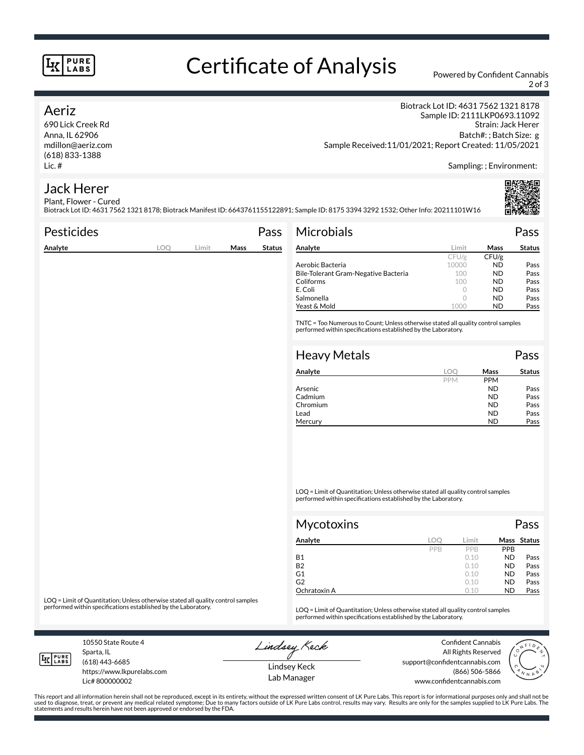#### **PURE** LABS

# Certificate of Analysis Powered by Confident Cannabis

2 of 3

### Aeriz

Anna, IL 62906 mdillon@aeriz.com (618) 833-1388

Biotrack Lot ID: 4631 7562 1321 8178 Sample ID: 2111LKP0693.11092 Strain: Jack Herer Batch#: ; Batch Size: g Sample Received:11/01/2021; Report Created: 11/05/2021

Sampling: ; Environment:

#### Jack Herer Plant, Flower - Cured

Biotrack Lot ID: 4631 7562 1321 8178; Biotrack Manifest ID: 6643761155122891; Sample ID: 8175 3394 3292 1532; Other Info: 20211101W16

| <b>Pesticides</b> |            |       |      | Pass          | <b>Microbials</b>                                                                                                                                   |         |                  | Pass          |
|-------------------|------------|-------|------|---------------|-----------------------------------------------------------------------------------------------------------------------------------------------------|---------|------------------|---------------|
| Analyte           | <b>LOQ</b> | Limit | Mass | <b>Status</b> | Analyte                                                                                                                                             | Limit   | Mass             | <b>Status</b> |
|                   |            |       |      |               |                                                                                                                                                     | CFU/g   | CFU/g            |               |
|                   |            |       |      |               | Aerobic Bacteria                                                                                                                                    | 10000   | <b>ND</b>        | Pass          |
|                   |            |       |      |               | Bile-Tolerant Gram-Negative Bacteria                                                                                                                | 100     | <b>ND</b>        | Pass          |
|                   |            |       |      |               | Coliforms                                                                                                                                           | 100     | <b>ND</b>        | Pass          |
|                   |            |       |      |               | E. Coli                                                                                                                                             | 0       | <b>ND</b>        | Pass          |
|                   |            |       |      |               | Salmonella                                                                                                                                          | $\circ$ | <b>ND</b>        | Pass          |
|                   |            |       |      |               | Yeast & Mold                                                                                                                                        | 1000    | <b>ND</b>        | Pass          |
|                   |            |       |      |               | TNTC = Too Numerous to Count; Unless otherwise stated all quality control samples<br>performed within specifications established by the Laboratory. |         |                  |               |
|                   |            |       |      |               | <b>Heavy Metals</b>                                                                                                                                 |         |                  | Pass          |
|                   |            |       |      |               | Analyte                                                                                                                                             | LOO     | Mass             | <b>Status</b> |
|                   |            |       |      |               |                                                                                                                                                     | DDM 4   | DDM <sub>4</sub> |               |

| Analyte  |            | Mass       | <b>Status</b> |
|----------|------------|------------|---------------|
|          | <b>PPM</b> | <b>PPM</b> |               |
| Arsenic  |            | <b>ND</b>  | Pass          |
| Cadmium  |            | <b>ND</b>  | Pass          |
| Chromium |            | <b>ND</b>  | Pass          |
| Lead     |            | <b>ND</b>  | Pass          |
| Mercury  |            | ND         | Pass          |

LOQ = Limit of Quantitation; Unless otherwise stated all quality control samples performed within specifications established by the Laboratory.

| <b>Mycotoxins</b> |     |       | Pass      |             |  |
|-------------------|-----|-------|-----------|-------------|--|
| Analyte           | LOO | Limit |           | Mass Status |  |
|                   | PPB | PPB   | PPB       |             |  |
| <b>B1</b>         |     | 0.10  | <b>ND</b> | Pass        |  |
| <b>B2</b>         |     | 0.10  | <b>ND</b> | Pass        |  |
| G1                |     | 0.10  | <b>ND</b> | Pass        |  |
| G <sub>2</sub>    |     | 0.10  | <b>ND</b> | Pass        |  |
| Ochratoxin A      |     | 0.10  | <b>ND</b> | Pass        |  |

LOQ = Limit of Quantitation; Unless otherwise stated all quality control samples<br>performed within specifications established by the Laboratory.

LOQ = Limit of Quantitation; Unless otherwise stated all quality control samples performed within specifications established by the Laboratory.

10550 State Route 4 Sparta, IL

**IK PURE** 

(618) 443-6685

Lic# 800000002

https://www.lkpurelabs.com

Lindsey Keck

All Rights Reserved support@confidentcannabis.com www.confidentcannabis.com



This report and all information herein shall not be reproduced, except in its entirety, without the expressed written consent of LK Pure Labs. This report is for informational purposes only and shall not be<br>used to diagnos

Lindsey Keck Lab Manager

690 Lick Creek Rd Lic. #